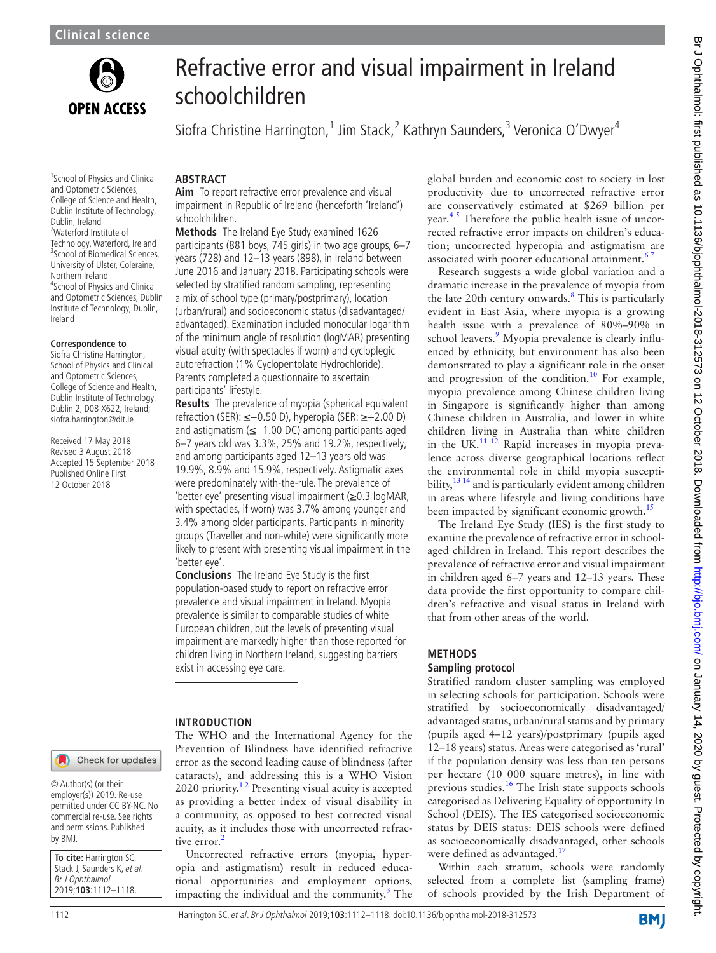

<sup>1</sup>School of Physics and Clinical and Optometric Sciences, College of Science and Health, Dublin Institute of Technology,

4 School of Physics and Clinical and Optometric Sciences, Dublin Institute of Technology, Dublin,

Dublin, Ireland <sup>2</sup>Waterford Institute of Technology, Waterford, Ireland <sup>3</sup>School of Biomedical Sciences, University of Ulster, Coleraine,

Northern Ireland

**Correspondence to** Siofra Christine Harrington, School of Physics and Clinical and Optometric Sciences, College of Science and Health, Dublin Institute of Technology, Dublin 2, D08 X622, Ireland; siofra.harrington@dit.ie Received 17 May 2018 Revised 3 August 2018 Accepted 15 September 2018 Published Online First 12 October 2018

Ireland

# Refractive error and visual impairment in Ireland schoolchildren

Siofra Christine Harrington,<sup>1</sup> Jim Stack,<sup>2</sup> Kathryn Saunders,<sup>3</sup> Veronica O'Dwyer<sup>4</sup>

#### **ARSTRACT**

**Aim** To report refractive error prevalence and visual impairment in Republic of Ireland (henceforth 'Ireland') schoolchildren.

**Methods** The Ireland Eye Study examined 1626 participants (881 boys, 745 girls) in two age groups, 6–7 years (728) and 12–13 years (898), in Ireland between June 2016 and January 2018. Participating schools were selected by stratified random sampling, representing a mix of school type (primary/postprimary), location (urban/rural) and socioeconomic status (disadvantaged/ advantaged). Examination included monocular logarithm of the minimum angle of resolution (logMAR) presenting visual acuity (with spectacles if worn) and cycloplegic autorefraction (1% Cyclopentolate Hydrochloride). Parents completed a questionnaire to ascertain participants' lifestyle.

**Results** The prevalence of myopia (spherical equivalent refraction (SER): ≤−0.50 D), hyperopia (SER: ≥+2.00 D) and astigmatism (≤−1.00 DC) among participants aged 6–7 years old was 3.3%, 25% and 19.2%, respectively, and among participants aged 12–13 years old was 19.9%, 8.9% and 15.9%, respectively. Astigmatic axes were predominately with-the-rule. The prevalence of 'better eye' presenting visual impairment (≥0.3 logMAR, with spectacles, if worn) was 3.7% among younger and 3.4% among older participants. Participants in minority groups (Traveller and non-white) were significantly more likely to present with presenting visual impairment in the 'better eye'.

**Conclusions** The Ireland Eye Study is the first population-based study to report on refractive error prevalence and visual impairment in Ireland. Myopia prevalence is similar to comparable studies of white European children, but the levels of presenting visual impairment are markedly higher than those reported for children living in Northern Ireland, suggesting barriers exist in accessing eye care.

#### **Introduction**

The WHO and the International Agency for the Prevention of Blindness have identified refractive error as the second leading cause of blindness (after cataracts), and addressing this is a WHO Vision 2020 priority. $1<sup>2</sup>$  Presenting visual acuity is accepted as providing a better index of visual disability in a community, as opposed to best corrected visual acuity, as it includes those with uncorrected refrac-tive error.<sup>[2](#page-5-1)</sup>

Uncorrected refractive errors (myopia, hyperopia and astigmatism) result in reduced educational opportunities and employment options, impacting the individual and the community. $3$  The global burden and economic cost to society in lost productivity due to uncorrected refractive error are conservatively estimated at \$269 billion per year.<sup>45</sup> Therefore the public health issue of uncorrected refractive error impacts on children's education; uncorrected hyperopia and astigmatism are associated with poorer educational attainment.<sup>67</sup>

Research suggests a wide global variation and a dramatic increase in the prevalence of myopia from the late 20th century onwards. $8$  This is particularly evident in East Asia, where myopia is a growing health issue with a prevalence of 80%–90% in school leavers.<sup>9</sup> Myopia prevalence is clearly influenced by ethnicity, but environment has also been demonstrated to play a significant role in the onset and progression of the condition.<sup>[10](#page-5-7)</sup> For example, myopia prevalence among Chinese children living in Singapore is significantly higher than among Chinese children in Australia, and lower in white children living in Australia than white children in the UK. $^{11}$   $^{12}$  Rapid increases in myopia prevalence across diverse geographical locations reflect the environmental role in child myopia susceptibility,  $13 \times 14$  and is particularly evident among children in areas where lifestyle and living conditions have been impacted by significant economic growth.<sup>[15](#page-5-10)</sup>

The Ireland Eye Study (IES) is the first study to examine the prevalence of refractive error in schoolaged children in Ireland. This report describes the prevalence of refractive error and visual impairment in children aged 6–7 years and 12–13 years. These data provide the first opportunity to compare children's refractive and visual status in Ireland with that from other areas of the world.

## **Methods**

#### **Sampling protocol**

Stratified random cluster sampling was employed in selecting schools for participation. Schools were stratified by socioeconomically disadvantaged/ advantaged status, urban/rural status and by primary (pupils aged 4–12 years)/postprimary (pupils aged 12–18 years) status. Areas were categorised as 'rural' if the population density was less than ten persons per hectare (10 000 square metres), in line with previous studies.<sup>16</sup> The Irish state supports schools categorised as Delivering Equality of opportunity In School (DEIS). The IES categorised socioeconomic status by DEIS status: DEIS schools were defined as socioeconomically disadvantaged, other schools were defined as advantaged. $17$ 

Within each stratum, schools were randomly selected from a complete list (sampling frame) of schools provided by the Irish Department of

# Check for updates

© Author(s) (or their employer(s)) 2019. Re-use permitted under CC BY-NC. No commercial re-use. See rights and permissions. Published by BMJ.

| To cite: Harrington SC,     |
|-----------------------------|
| Stack J, Saunders K, et al. |
| Br J Ophthalmol             |
| 2019;103:1112-1118.         |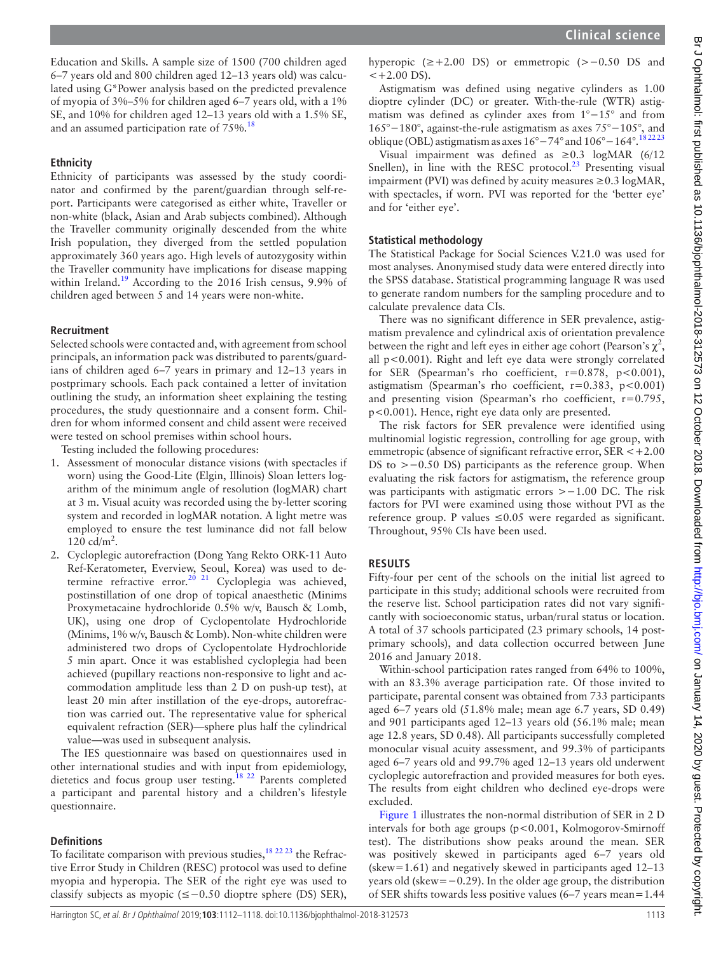Education and Skills. A sample size of 1500 (700 children aged 6–7 years old and 800 children aged 12–13 years old) was calculated using G\*Power analysis based on the predicted prevalence of myopia of 3%–5% for children aged 6–7 years old, with a 1% SE, and 10% for children aged 12–13 years old with a 1.5% SE, and an assumed participation rate of 75%.<sup>[18](#page-6-2)</sup>

## **Ethnicity**

Ethnicity of participants was assessed by the study coordinator and confirmed by the parent/guardian through self-report. Participants were categorised as either white, Traveller or non-white (black, Asian and Arab subjects combined). Although the Traveller community originally descended from the white Irish population, they diverged from the settled population approximately 360 years ago. High levels of autozygosity within the Traveller community have implications for disease mapping within Ireland.<sup>19</sup> According to the 2016 Irish census, 9.9% of children aged between 5 and 14 years were non-white.

### **Recruitment**

Selected schools were contacted and, with agreement from school principals, an information pack was distributed to parents/guardians of children aged 6–7 years in primary and 12–13 years in postprimary schools. Each pack contained a letter of invitation outlining the study, an information sheet explaining the testing procedures, the study questionnaire and a consent form. Children for whom informed consent and child assent were received were tested on school premises within school hours.

Testing included the following procedures:

- 1. Assessment of monocular distance visions (with spectacles if worn) using the Good-Lite (Elgin, Illinois) Sloan letters logarithm of the minimum angle of resolution (logMAR) chart at 3 m. Visual acuity was recorded using the by-letter scoring system and recorded in logMAR notation. A light metre was employed to ensure the test luminance did not fall below 120  $cd/m^2$ .
- 2. Cycloplegic autorefraction (Dong Yang Rekto ORK-11 Auto Ref-Keratometer, Everview, Seoul, Korea) was used to de-termine refractive error.<sup>[20 21](#page-6-4)</sup> Cycloplegia was achieved, postinstillation of one drop of topical anaesthetic (Minims Proxymetacaine hydrochloride 0.5% w/v, Bausch & Lomb, UK), using one drop of Cyclopentolate Hydrochloride (Minims, 1% w/v, Bausch & Lomb). Non-white children were administered two drops of Cyclopentolate Hydrochloride 5 min apart. Once it was established cycloplegia had been achieved (pupillary reactions non-responsive to light and accommodation amplitude less than 2 D on push-up test), at least 20 min after instillation of the eye-drops, autorefraction was carried out. The representative value for spherical equivalent refraction (SER)—sphere plus half the cylindrical value—was used in subsequent analysis.

The IES questionnaire was based on questionnaires used in other international studies and with input from epidemiology, dietetics and focus group user testing.<sup>[18 22](#page-6-2)</sup> Parents completed a participant and parental history and a children's lifestyle questionnaire.

## **Definitions**

To facilitate comparison with previous studies,  $18\frac{22\frac{23}{2}}{1}$  the Refractive Error Study in Children (RESC) protocol was used to define myopia and hyperopia. The SER of the right eye was used to classify subjects as myopic (≤−0.50 dioptre sphere (DS) SER),

hyperopic  $(\geq +2.00 \text{ DS})$  or emmetropic  $(\geq -0.50 \text{ DS})$  and  $\lt$  +2.00 DS).

Astigmatism was defined using negative cylinders as 1.00 dioptre cylinder (DC) or greater. With-the-rule (WTR) astigmatism was defined as cylinder axes from 1°−15° and from 165°−180°, against-the-rule astigmatism as axes 75°−105°, and oblique (OBL) astigmatism as axes 16°−74° and 106°−164°.[18 22 23](#page-6-2)

Visual impairment was defined as  $\geq 0.3$  logMAR (6/12) Snellen), in line with the RESC protocol. $^{23}$  Presenting visual impairment (PVI) was defined by acuity measures  $\geq 0.3$  logMAR, with spectacles, if worn. PVI was reported for the 'better eye' and for 'either eye'.

## **Statistical methodology**

The Statistical Package for Social Sciences V.21.0 was used for most analyses. Anonymised study data were entered directly into the SPSS database. Statistical programming language R was used to generate random numbers for the sampling procedure and to calculate prevalence data CIs.

There was no significant difference in SER prevalence, astigmatism prevalence and cylindrical axis of orientation prevalence between the right and left eyes in either age cohort (Pearson's  $\chi^2$ , all p<0.001). Right and left eye data were strongly correlated for SER (Spearman's rho coefficient,  $r=0.878$ ,  $p<0.001$ ), astigmatism (Spearman's rho coefficient,  $r=0.383$ ,  $p<0.001$ ) and presenting vision (Spearman's rho coefficient, r=0.795, p<0.001). Hence, right eye data only are presented.

The risk factors for SER prevalence were identified using multinomial logistic regression, controlling for age group, with emmetropic (absence of significant refractive error, SER <+2.00 DS to > −0.50 DS) participants as the reference group. When evaluating the risk factors for astigmatism, the reference group was participants with astigmatic errors >−1.00 DC. The risk factors for PVI were examined using those without PVI as the reference group. P values  $\leq 0.05$  were regarded as significant. Throughout, 95% CIs have been used.

## **Results**

Fifty-four per cent of the schools on the initial list agreed to participate in this study; additional schools were recruited from the reserve list. School participation rates did not vary significantly with socioeconomic status, urban/rural status or location. A total of 37 schools participated (23 primary schools, 14 postprimary schools), and data collection occurred between June 2016 and January 2018.

Within-school participation rates ranged from 64% to 100%, with an 83.3% average participation rate. Of those invited to participate, parental consent was obtained from 733 participants aged 6–7 years old (51.8% male; mean age 6.7 years, SD 0.49) and 901 participants aged 12–13 years old (56.1% male; mean age 12.8 years, SD 0.48). All participants successfully completed monocular visual acuity assessment, and 99.3% of participants aged 6–7 years old and 99.7% aged 12–13 years old underwent cycloplegic autorefraction and provided measures for both eyes. The results from eight children who declined eye-drops were excluded.

[Figure](#page-2-0) 1 illustrates the non-normal distribution of SER in 2 D intervals for both age groups (p<0.001, Kolmogorov-Smirnoff test). The distributions show peaks around the mean. SER was positively skewed in participants aged 6–7 years old (skew=1.61) and negatively skewed in participants aged 12–13 years old (skew=−0.29). In the older age group, the distribution of SER shifts towards less positive values (6–7 years mean=1.44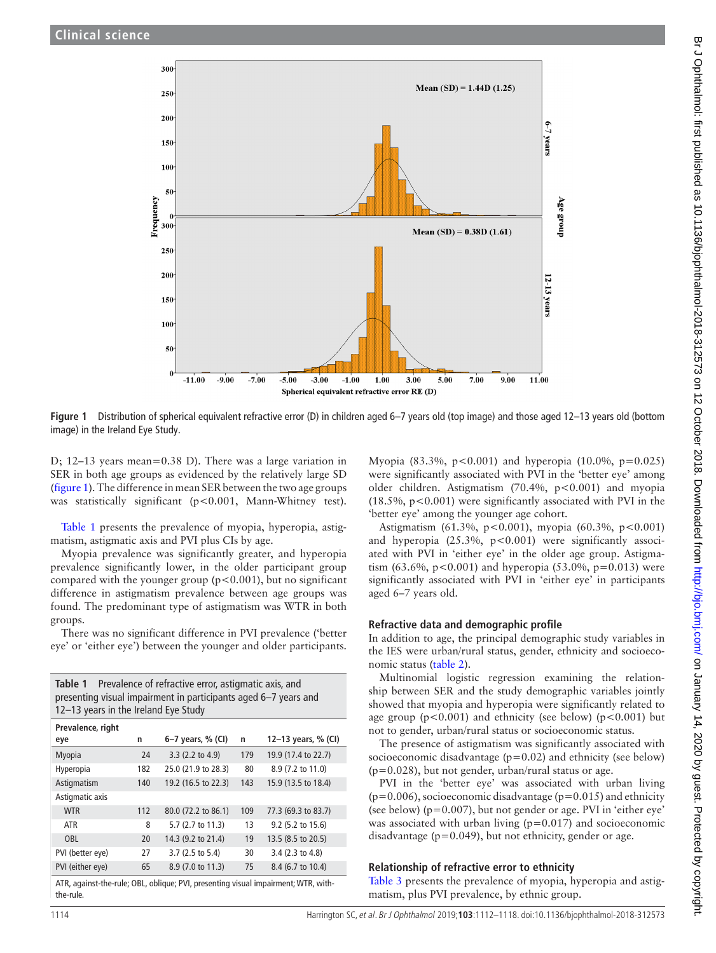

**Figure 1** Distribution of spherical equivalent refractive error (D) in children aged 6–7 years old (top image) and those aged 12–13 years old (bottom image) in the Ireland Eye Study.

D; 12–13 years mean=0.38 D). There was a large variation in SER in both age groups as evidenced by the relatively large SD ([figure](#page-2-0) 1). The difference in mean SER between the two age groups was statistically significant (p<0.001, Mann-Whitney test).

[Table](#page-2-1) 1 presents the prevalence of myopia, hyperopia, astigmatism, astigmatic axis and PVI plus CIs by age.

Myopia prevalence was significantly greater, and hyperopia prevalence significantly lower, in the older participant group compared with the younger group  $(p<0.001)$ , but no significant difference in astigmatism prevalence between age groups was found. The predominant type of astigmatism was WTR in both groups.

There was no significant difference in PVI prevalence ('better eye' or 'either eye') between the younger and older participants.

<span id="page-2-1"></span>

| Prevalence of refractive error, astigmatic axis, and<br>Table 1<br>presenting visual impairment in participants aged 6–7 years and<br>12-13 years in the Ireland Eye Study |     |                             |     |                     |  |  |
|----------------------------------------------------------------------------------------------------------------------------------------------------------------------------|-----|-----------------------------|-----|---------------------|--|--|
| Prevalence, right<br>eye                                                                                                                                                   | n   | 6–7 years, % (CI)           | n   | 12–13 years, % (CI) |  |  |
| Myopia                                                                                                                                                                     | 24  | 3.3 (2.2 to 4.9)            | 179 | 19.9 (17.4 to 22.7) |  |  |
| Hyperopia                                                                                                                                                                  | 182 | 25.0 (21.9 to 28.3)         | 80  | 8.9 (7.2 to 11.0)   |  |  |
| Astigmatism                                                                                                                                                                | 140 | 19.2 (16.5 to 22.3)         | 143 | 15.9 (13.5 to 18.4) |  |  |
| Astigmatic axis                                                                                                                                                            |     |                             |     |                     |  |  |
| <b>WTR</b>                                                                                                                                                                 | 112 | 80.0 (72.2 to 86.1)         | 109 | 77.3 (69.3 to 83.7) |  |  |
| <b>ATR</b>                                                                                                                                                                 | 8   | 5.7 (2.7 to 11.3)           | 13  | 9.2 (5.2 to 15.6)   |  |  |
| OBL                                                                                                                                                                        | 20  | 14.3 (9.2 to 21.4)          | 19  | 13.5 (8.5 to 20.5)  |  |  |
| PVI (better eye)                                                                                                                                                           | 27  | $3.7$ (2.5 to 5.4)          | 30  | 3.4 (2.3 to 4.8)    |  |  |
| PVI (either eye)                                                                                                                                                           | 65  | $8.9(7.0 \text{ to } 11.3)$ | 75  | 8.4 (6.7 to 10.4)   |  |  |

ATR, against-the-rule; OBL, oblique; PVI, presenting visual impairment; WTR, withthe-rule.

<span id="page-2-0"></span>Myopia (83.3%,  $p < 0.001$ ) and hyperopia (10.0%,  $p = 0.025$ ) were significantly associated with PVI in the 'better eye' among older children. Astigmatism (70.4%, p<0.001) and myopia  $(18.5\%, p<0.001)$  were significantly associated with PVI in the 'better eye' among the younger age cohort.

Astigmatism (61.3%, p<0.001), myopia (60.3%, p<0.001) and hyperopia (25.3%, p<0.001) were significantly associated with PVI in 'either eye' in the older age group. Astigmatism (63.6%, p<0.001) and hyperopia (53.0%, p=0.013) were significantly associated with PVI in 'either eye' in participants aged 6–7 years old.

#### **Refractive data and demographic profile**

In addition to age, the principal demographic study variables in the IES were urban/rural status, gender, ethnicity and socioeconomic status [\(table](#page-3-0) 2).

Multinomial logistic regression examining the relationship between SER and the study demographic variables jointly showed that myopia and hyperopia were significantly related to age group ( $p < 0.001$ ) and ethnicity (see below) ( $p < 0.001$ ) but not to gender, urban/rural status or socioeconomic status.

The presence of astigmatism was significantly associated with socioeconomic disadvantage (p=0.02) and ethnicity (see below) (p=0.028), but not gender, urban/rural status or age.

PVI in the 'better eye' was associated with urban living  $(p=0.006)$ , socioeconomic disadvantage  $(p=0.015)$  and ethnicity (see below) ( $p=0.007$ ), but not gender or age. PVI in 'either eye' was associated with urban living  $(p=0.017)$  and socioeconomic disadvantage ( $p=0.049$ ), but not ethnicity, gender or age.

## **Relationship of refractive error to ethnicity**

[Table](#page-3-1) 3 presents the prevalence of myopia, hyperopia and astigmatism, plus PVI prevalence, by ethnic group.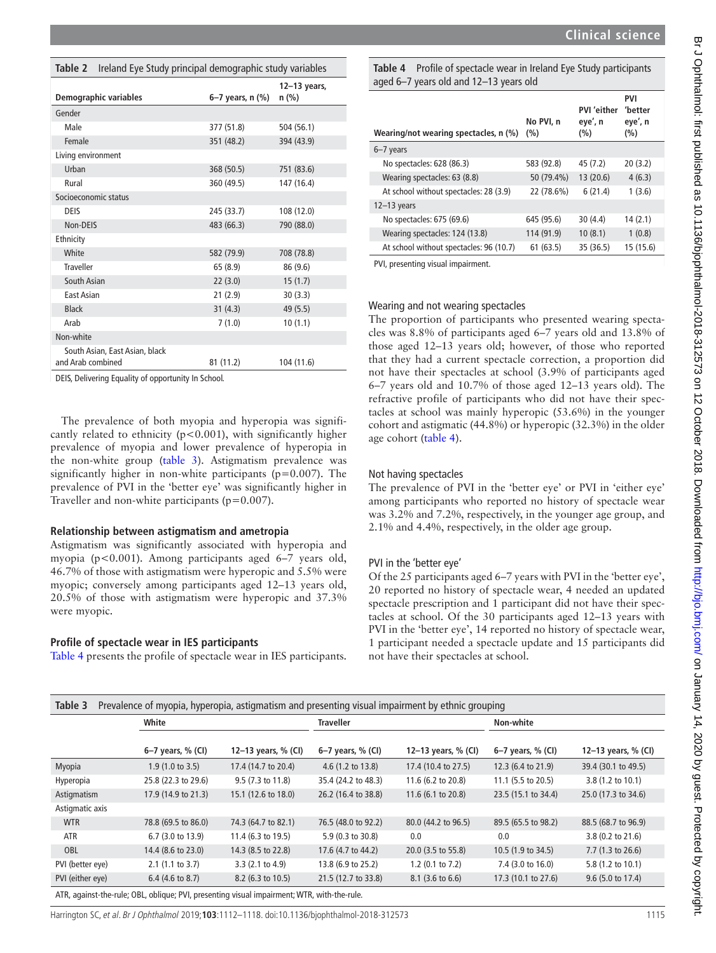| בי לכונו בנוסו באמונו המוני המאה היה להורית היה להורית הוא היה להורית היה להורית היה היה היה היה היה היה היה ה<br>D、 I )> トィトヘュlスヘ ヘ! fi:ヘ+ ヘ: トli:トトヘユ ヘヘ イハ イイ 92 トi:ヘメトナト ヘlトヘ ヘ! ^014 Q_24 つ アス へい イフ )>+イトレヘr ^014 Q ] >-レニッフィスoイ キャンフィ トナナト |
|---------------------------------------------------------------------------------------------------------------------------------------------------------------------------------------------------------------------------------------------------|
|                                                                                                                                                                                                                                                   |
|                                                                                                                                                                                                                                                   |
|                                                                                                                                                                                                                                                   |
|                                                                                                                                                                                                                                                   |
|                                                                                                                                                                                                                                                   |
|                                                                                                                                                                                                                                                   |
|                                                                                                                                                                                                                                                   |
|                                                                                                                                                                                                                                                   |
|                                                                                                                                                                                                                                                   |
|                                                                                                                                                                                                                                                   |
|                                                                                                                                                                                                                                                   |
|                                                                                                                                                                                                                                                   |
|                                                                                                                                                                                                                                                   |
|                                                                                                                                                                                                                                                   |
|                                                                                                                                                                                                                                                   |
|                                                                                                                                                                                                                                                   |
|                                                                                                                                                                                                                                                   |
|                                                                                                                                                                                                                                                   |
|                                                                                                                                                                                                                                                   |
|                                                                                                                                                                                                                                                   |
|                                                                                                                                                                                                                                                   |
|                                                                                                                                                                                                                                                   |

<span id="page-3-0"></span>

|                                                     |                  | Ireland Eye Study principal demographic study variables |  |  |  |
|-----------------------------------------------------|------------------|---------------------------------------------------------|--|--|--|
| <b>Demographic variables</b>                        | 6-7 years, n (%) | 12-13 years,<br>$n$ (%)                                 |  |  |  |
| Gender                                              |                  |                                                         |  |  |  |
| Male                                                | 377 (51.8)       | 504 (56.1)                                              |  |  |  |
| Female                                              | 351 (48.2)       | 394 (43.9)                                              |  |  |  |
| Living environment                                  |                  |                                                         |  |  |  |
| Urban                                               | 368 (50.5)       | 751 (83.6)                                              |  |  |  |
| Rural                                               | 360 (49.5)       | 147 (16.4)                                              |  |  |  |
| Socioeconomic status                                |                  |                                                         |  |  |  |
| <b>DEIS</b>                                         | 245 (33.7)       | 108 (12.0)                                              |  |  |  |
| Non-DEIS                                            | 483 (66.3)       | 790 (88.0)                                              |  |  |  |
| Ethnicity                                           |                  |                                                         |  |  |  |
| White                                               | 582 (79.9)       | 708 (78.8)                                              |  |  |  |
| <b>Traveller</b>                                    | 65 (8.9)         | 86 (9.6)                                                |  |  |  |
| South Asian                                         | 22(3.0)          | 15(1.7)                                                 |  |  |  |
| <b>East Asian</b>                                   | 21(2.9)          | 30(3.3)                                                 |  |  |  |
| <b>Black</b>                                        | 31(4.3)          | 49(5.5)                                                 |  |  |  |
| Arab                                                | 7(1.0)           | 10(1.1)                                                 |  |  |  |
| Non-white                                           |                  |                                                         |  |  |  |
| South Asian, East Asian, black<br>and Arab combined | 81 (11.2)        | 104 (11.6)                                              |  |  |  |

DEIS, Delivering Equality of opportunity In School.

The prevalence of both myopia and hyperopia was significantly related to ethnicity ( $p < 0.001$ ), with significantly higher prevalence of myopia and lower prevalence of hyperopia in the non-white group ([table](#page-3-1) 3). Astigmatism prevalence was significantly higher in non-white participants ( $p=0.007$ ). The prevalence of PVI in the 'better eye' was significantly higher in Traveller and non-white participants (p=0.007).

#### **Relationship between astigmatism and ametropia**

Astigmatism was significantly associated with hyperopia and myopia (p<0.001). Among participants aged 6–7 years old, 46.7% of those with astigmatism were hyperopic and 5.5% were myopic; conversely among participants aged 12–13 years old, 20.5% of those with astigmatism were hyperopic and 37.3% were myopic.

#### **Profile of spectacle wear in IES participants**

[Table](#page-3-2) 4 presents the profile of spectacle wear in IES participants.

<span id="page-3-2"></span>**Table 4** Profile of spectacle wear in Ireland Eye Study participants aged 6–7 years old and 12–13 years old

**Clinical science**

 $\mathbf{m}$ 

| Wearing/not wearing spectacles, n (%)   | No PVI, n<br>(%) | <b>PVI</b> 'either<br>eye', n<br>(%) | <b>PVI</b><br>'better<br>eye', n<br>(%) |
|-----------------------------------------|------------------|--------------------------------------|-----------------------------------------|
| 6-7 years                               |                  |                                      |                                         |
| No spectacles: 628 (86.3)               | 583 (92.8)       | 45 (7.2)                             | 20(3.2)                                 |
| Wearing spectacles: 63 (8.8)            | 50 (79.4%)       | 13(20.6)                             | 4(6.3)                                  |
| At school without spectacles: 28 (3.9)  | 22 (78.6%)       | 6(21.4)                              | 1(3.6)                                  |
| $12-13$ years                           |                  |                                      |                                         |
| No spectacles: 675 (69.6)               | 645 (95.6)       | 30(4.4)                              | 14(2.1)                                 |
| Wearing spectacles: 124 (13.8)          | 114 (91.9)       | 10(8.1)                              | 1(0.8)                                  |
| At school without spectacles: 96 (10.7) | 61(63.5)         | 35 (36.5)                            | 15 (15.6)                               |

PVI, presenting visual impairment.

#### Wearing and not wearing spectacles

The proportion of participants who presented wearing spectacles was 8.8% of participants aged 6–7 years old and 13.8% of those aged 12–13 years old; however, of those who reported that they had a current spectacle correction, a proportion did not have their spectacles at school (3.9% of participants aged 6–7 years old and 10.7% of those aged 12–13 years old). The refractive profile of participants who did not have their spectacles at school was mainly hyperopic (53.6%) in the younger cohort and astigmatic (44.8%) or hyperopic (32.3%) in the older age cohort ([table](#page-3-2) 4).

#### Not having spectacles

The prevalence of PVI in the 'better eye' or PVI in 'either eye' among participants who reported no history of spectacle wear was 3.2% and 7.2%, respectively, in the younger age group, and 2.1% and 4.4%, respectively, in the older age group.

#### PVI in the 'better eye'

Of the 25 participants aged 6–7 years with PVI in the 'better eye', 20 reported no history of spectacle wear, 4 needed an updated spectacle prescription and 1 participant did not have their spectacles at school. Of the 30 participants aged 12–13 years with PVI in the 'better eye', 14 reported no history of spectacle wear, 1 participant needed a spectacle update and 15 participants did not have their spectacles at school.

<span id="page-3-1"></span>

| Prevalence of myopia, hyperopia, astigmatism and presenting visual impairment by ethnic grouping<br>Table 3 |                            |                             |                             |                             |                               |                             |  |
|-------------------------------------------------------------------------------------------------------------|----------------------------|-----------------------------|-----------------------------|-----------------------------|-------------------------------|-----------------------------|--|
|                                                                                                             | White                      |                             | <b>Traveller</b>            |                             | Non-white                     |                             |  |
|                                                                                                             | 6-7 years, % (CI)          | 12-13 years, % (CI)         | 6–7 years, % (CI)           | 12-13 years, % (CI)         | 6-7 years, % (CI)             | 12-13 years, % (CI)         |  |
| Myopia                                                                                                      | $1.9(1.0 \text{ to } 3.5)$ | 17.4 (14.7 to 20.4)         | $4.6(1.2 \text{ to } 13.8)$ | 17.4 (10.4 to 27.5)         | 12.3 (6.4 to 21.9)            | 39.4 (30.1 to 49.5)         |  |
| Hyperopia                                                                                                   | 25.8 (22.3 to 29.6)        | $9.5(7.3 \text{ to } 11.8)$ | 35.4 (24.2 to 48.3)         | 11.6 (6.2 to 20.8)          | 11.1 $(5.5 \text{ to } 20.5)$ | $3.8(1.2 \text{ to } 10.1)$ |  |
| Astigmatism                                                                                                 | 17.9 (14.9 to 21.3)        | 15.1 (12.6 to 18.0)         | 26.2 (16.4 to 38.8)         | 11.6 (6.1 to 20.8)          | 23.5 (15.1 to 34.4)           | 25.0 (17.3 to 34.6)         |  |
| Astigmatic axis                                                                                             |                            |                             |                             |                             |                               |                             |  |
| <b>WTR</b>                                                                                                  | 78.8 (69.5 to 86.0)        | 74.3 (64.7 to 82.1)         | 76.5 (48.0 to 92.2)         | 80.0 (44.2 to 96.5)         | 89.5 (65.5 to 98.2)           | 88.5 (68.7 to 96.9)         |  |
| ATR                                                                                                         | $6.7$ (3.0 to 13.9)        | 11.4 (6.3 to 19.5)          | 5.9 (0.3 to 30.8)           | 0.0                         | 0.0                           | 3.8 (0.2 to 21.6)           |  |
| <b>OBL</b>                                                                                                  | 14.4 (8.6 to 23.0)         | 14.3 (8.5 to 22.8)          | 17.6 (4.7 to 44.2)          | 20.0 (3.5 to 55.8)          | 10.5 (1.9 to 34.5)            | $7.7(1.3 \text{ to } 26.6)$ |  |
| PVI (better eye)                                                                                            | $2.1$ (1.1 to 3.7)         | $3.3$ (2.1 to 4.9)          | 13.8 (6.9 to 25.2)          | 1.2 $(0.1 \text{ to } 7.2)$ | 7.4 (3.0 to 16.0)             | 5.8 (1.2 to 10.1)           |  |
| PVI (either eye)                                                                                            | $6.4$ (4.6 to 8.7)         | 8.2 (6.3 to 10.5)           | 21.5 (12.7 to 33.8)         | 8.1 (3.6 to 6.6)            | 17.3 (10.1 to 27.6)           | 9.6 (5.0 to 17.4)           |  |
| ATR, against-the-rule; OBL, oblique; PVI, presenting visual impairment; WTR, with-the-rule.                 |                            |                             |                             |                             |                               |                             |  |

Harrington SC, et al. Br J Ophthalmol 2019;**103**:1112–1118. doi:10.1136/bjophthalmol-2018-312573 1115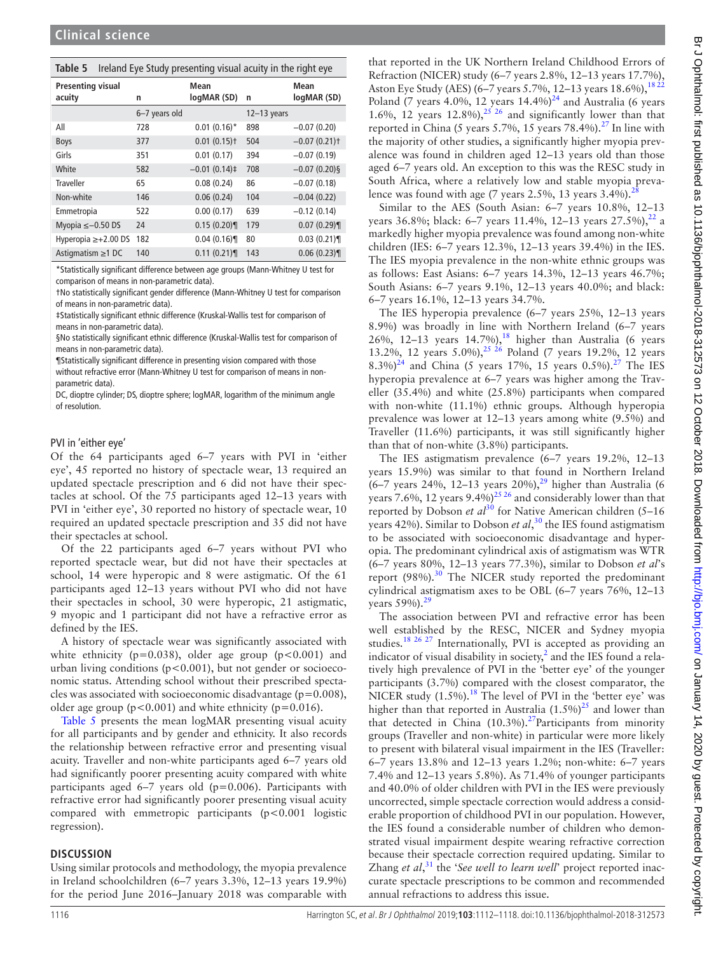<span id="page-4-0"></span>

|  | Table 5 Ireland Eye Study presenting visual acuity in the right eye |
|--|---------------------------------------------------------------------|
|--|---------------------------------------------------------------------|

| <b>Presenting visual</b><br>acuity | n             | Mean<br>logMAR (SD)       | n             | Mean<br>logMAR (SD) |
|------------------------------------|---------------|---------------------------|---------------|---------------------|
|                                    | 6-7 years old |                           | $12-13$ years |                     |
| All                                | 728           | $0.01(0.16)^*$            | 898           | $-0.07(0.20)$       |
| <b>Boys</b>                        | 377           | $0.01(0.15)$ <sup>+</sup> | 504           | $-0.07(0.21)$ t     |
| Girls                              | 351           | 0.01(0.17)                | 394           | $-0.07(0.19)$       |
| White                              | 582           | $-0.01(0.14)$ ‡           | 708           | $-0.07(0.20)$ §     |
| <b>Traveller</b>                   | 65            | 0.08(0.24)                | 86            | $-0.07(0.18)$       |
| Non-white                          | 146           | 0.06(0.24)                | 104           | $-0.04(0.22)$       |
| Emmetropia                         | 522           | 0.00(0.17)                | 639           | $-0.12(0.14)$       |
| Myopia $\leq -0.50$ DS             | 24            | 0.15(0.20)                | 179           | 0.07(0.29)          |
| Hyperopia $\geq +2.00$ DS          | 182           | 0.04(0.16)                | 80            | 0.03(0.21)          |
| Astigmatism $\geq 1$ DC            | 140           | 0.11(0.21)                | 143           | $0.06(0.23)$ ¶      |

\*Statistically significant difference between age groups (Mann-Whitney U test for comparison of means in non-parametric data).

†No statistically significant gender difference (Mann-Whitney U test for comparison of means in non-parametric data).

‡Statistically significant ethnic difference (Kruskal-Wallis test for comparison of means in non-parametric data).

§No statistically significant ethnic difference (Kruskal-Wallis test for comparison of means in non-parametric data).

¶Statistically significant difference in presenting vision compared with those without refractive error (Mann-Whitney U test for comparison of means in non-

parametric data). DC, dioptre cylinder; DS, dioptre sphere; logMAR, logarithm of the minimum angle of resolution.

#### PVI in 'either eye'

Of the 64 participants aged 6–7 years with PVI in 'either eye', 45 reported no history of spectacle wear, 13 required an updated spectacle prescription and 6 did not have their spectacles at school. Of the 75 participants aged 12–13 years with PVI in 'either eye', 30 reported no history of spectacle wear, 10 required an updated spectacle prescription and 35 did not have their spectacles at school.

Of the 22 participants aged 6–7 years without PVI who reported spectacle wear, but did not have their spectacles at school, 14 were hyperopic and 8 were astigmatic. Of the 61 participants aged 12–13 years without PVI who did not have their spectacles in school, 30 were hyperopic, 21 astigmatic, 9 myopic and 1 participant did not have a refractive error as defined by the IES.

A history of spectacle wear was significantly associated with white ethnicity ( $p=0.038$ ), older age group ( $p<0.001$ ) and urban living conditions (p<0.001), but not gender or socioeconomic status. Attending school without their prescribed spectacles was associated with socioeconomic disadvantage ( $p=0.008$ ), older age group ( $p < 0.001$ ) and white ethnicity ( $p = 0.016$ ).

[Table](#page-4-0) 5 presents the mean logMAR presenting visual acuity for all participants and by gender and ethnicity. It also records the relationship between refractive error and presenting visual acuity. Traveller and non-white participants aged 6–7 years old had significantly poorer presenting acuity compared with white participants aged 6–7 years old (p=0.006). Participants with refractive error had significantly poorer presenting visual acuity compared with emmetropic participants  $(p<0.001$  logistic regression).

## **Discussion**

Using similar protocols and methodology, the myopia prevalence in Ireland schoolchildren (6–7 years 3.3%, 12–13 years 19.9%) for the period June 2016–January 2018 was comparable with

that reported in the UK Northern Ireland Childhood Errors of Refraction (NICER) study (6–7 years 2.8%, 12–13 years 17.7%), Aston Eye Study (AES) (6–7 years 5.7%, 12–13 years 18.6%),<sup>1822</sup> Poland (7 years 4.0%, 12 years  $14.4\%$ )<sup>24</sup> and Australia (6 years 1.6%, 12 years 12.8%),  $2^{5}$  26 and significantly lower than that reported in China (5 years  $5.7\%$ , 15 years  $78.4\%$ ).<sup>27</sup> In line with the majority of other studies, a significantly higher myopia prevalence was found in children aged 12–13 years old than those aged 6–7 years old. An exception to this was the RESC study in South Africa, where a relatively low and stable myopia prevalence was found with age (7 years 2.5%, 13 years 3.4%).<sup>28</sup>

Similar to the AES (South Asian: 6–7 years 10.8%, 12–13 years 36.8%; black: 6–7 years 11.4%, 12–13 years 27.5%),  $^{22}$  $^{22}$  $^{22}$  a markedly higher myopia prevalence was found among non-white children (IES: 6–7 years 12.3%, 12–13 years 39.4%) in the IES. The IES myopia prevalence in the non-white ethnic groups was as follows: East Asians: 6–7 years 14.3%, 12–13 years 46.7%; South Asians: 6–7 years 9.1%, 12–13 years 40.0%; and black: 6–7 years 16.1%, 12–13 years 34.7%.

The IES hyperopia prevalence (6–7 years 25%, 12–13 years 8.9%) was broadly in line with Northern Ireland (6–7 years 26%, 12–13 years 14.7%),<sup>[18](#page-6-2)</sup> higher than Australia (6 years 13.2%, 12 years 5.0%),<sup>[25 26](#page-6-7)</sup> Poland (7 years 19.2%, 12 years 8.3%)<sup>24</sup> and China (5 years 17%, 15 years 0.5%).<sup>27</sup> The IES hyperopia prevalence at 6–7 years was higher among the Traveller (35.4%) and white (25.8%) participants when compared with non-white (11.1%) ethnic groups. Although hyperopia prevalence was lower at 12–13 years among white (9.5%) and Traveller (11.6%) participants, it was still significantly higher than that of non-white (3.8%) participants.

The IES astigmatism prevalence (6–7 years 19.2%, 12–13 years 15.9%) was similar to that found in Northern Ireland (6–7 years 24%, 12–13 years 20%),<sup>29</sup> higher than Australia (6 years 7.6%, 12 years 9.4%)<sup>25.26</sup> and considerably lower than that reported by Dobson *et al*<sup>[30](#page-6-12)</sup> for Native American children (5–16) years 42%). Similar to Dobson *et al*, [30](#page-6-12) the IES found astigmatism to be associated with socioeconomic disadvantage and hyperopia. The predominant cylindrical axis of astigmatism was WTR (6–7 years 80%, 12–13 years 77.3%), similar to Dobson *et al*'s report (98%).[30](#page-6-12) The NICER study reported the predominant cylindrical astigmatism axes to be OBL (6–7 years 76%, 12–13 vears  $59%$ ).<sup>29</sup>

The association between PVI and refractive error has been well established by the RESC, NICER and Sydney myopia studies[.18 26 27](#page-6-2) Internationally, PVI is accepted as providing an indicator of visual disability in society, $^2$  $^2$  and the IES found a relatively high prevalence of PVI in the 'better eye' of the younger participants (3.7%) compared with the closest comparator, the NICER study  $(1.5\%)$ .<sup>[18](#page-6-2)</sup> The level of PVI in the 'better eye' was higher than that reported in Australia  $(1.5\%)^{25}$  $(1.5\%)^{25}$  $(1.5\%)^{25}$  and lower than that detected in China  $(10.3\%)$ .<sup>27</sup>Participants from minority groups (Traveller and non-white) in particular were more likely to present with bilateral visual impairment in the IES (Traveller: 6–7 years 13.8% and 12–13 years 1.2%; non-white: 6–7 years 7.4% and 12–13 years 5.8%). As 71.4% of younger participants and 40.0% of older children with PVI in the IES were previously uncorrected, simple spectacle correction would address a considerable proportion of childhood PVI in our population. However, the IES found a considerable number of children who demonstrated visual impairment despite wearing refractive correction because their spectacle correction required updating. Similar to Zhang *et al*, [31](#page-6-13) the '*See well to learn well*' project reported inaccurate spectacle prescriptions to be common and recommended annual refractions to address this issue.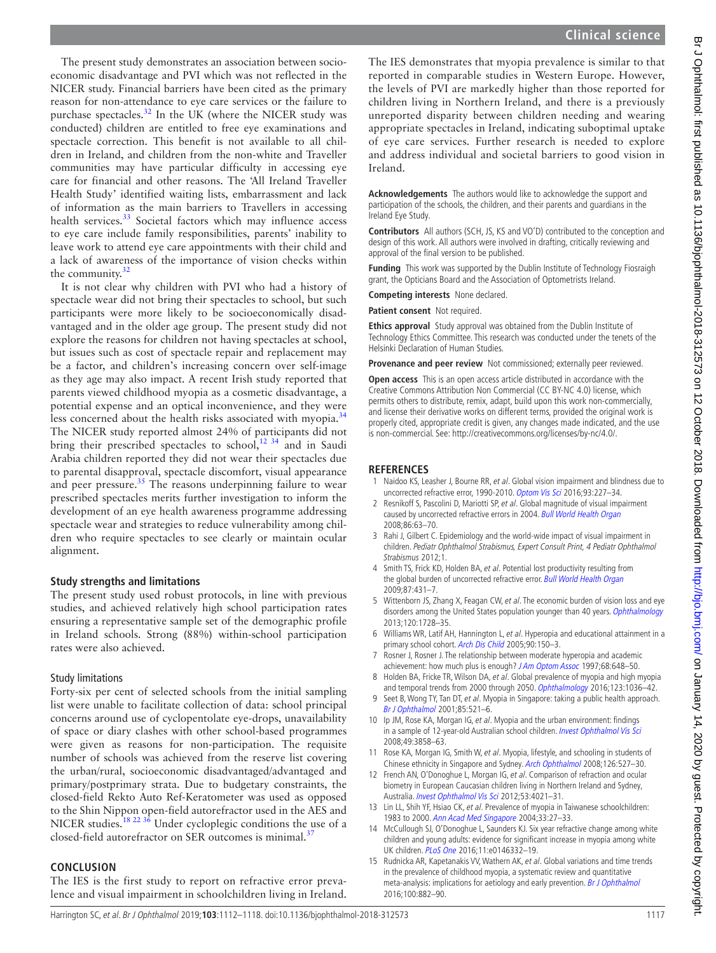The present study demonstrates an association between socioeconomic disadvantage and PVI which was not reflected in the NICER study. Financial barriers have been cited as the primary reason for non-attendance to eye care services or the failure to purchase spectacles.<sup>[32](#page-6-14)</sup> In the UK (where the NICER study was conducted) children are entitled to free eye examinations and spectacle correction. This benefit is not available to all children in Ireland, and children from the non-white and Traveller communities may have particular difficulty in accessing eye care for financial and other reasons. The 'All Ireland Traveller Health Study' identified waiting lists, embarrassment and lack of information as the main barriers to Travellers in accessing health services.<sup>33</sup> Societal factors which may influence access to eye care include family responsibilities, parents' inability to leave work to attend eye care appointments with their child and a lack of awareness of the importance of vision checks within the community. $32$ 

It is not clear why children with PVI who had a history of spectacle wear did not bring their spectacles to school, but such participants were more likely to be socioeconomically disadvantaged and in the older age group. The present study did not explore the reasons for children not having spectacles at school, but issues such as cost of spectacle repair and replacement may be a factor, and children's increasing concern over self-image as they age may also impact. A recent Irish study reported that parents viewed childhood myopia as a cosmetic disadvantage, a potential expense and an optical inconvenience, and they were less concerned about the health risks associated with myopia.<sup>[34](#page-6-16)</sup> The NICER study reported almost 24% of participants did not bring their prescribed spectacles to school,<sup>[12 34](#page-5-11)</sup> and in Saudi Arabia children reported they did not wear their spectacles due to parental disapproval, spectacle discomfort, visual appearance and peer pressure.<sup>35</sup> The reasons underpinning failure to wear prescribed spectacles merits further investigation to inform the development of an eye health awareness programme addressing spectacle wear and strategies to reduce vulnerability among children who require spectacles to see clearly or maintain ocular alignment.

## **Study strengths and limitations**

The present study used robust protocols, in line with previous studies, and achieved relatively high school participation rates ensuring a representative sample set of the demographic profile in Ireland schools. Strong (88%) within-school participation rates were also achieved.

## Study limitations

Forty-six per cent of selected schools from the initial sampling list were unable to facilitate collection of data: school principal concerns around use of cyclopentolate eye-drops, unavailability of space or diary clashes with other school-based programmes were given as reasons for non-participation. The requisite number of schools was achieved from the reserve list covering the urban/rural, socioeconomic disadvantaged/advantaged and primary/postprimary strata. Due to budgetary constraints, the closed-field Rekto Auto Ref-Keratometer was used as opposed to the Shin Nippon open-field autorefractor used in the AES and NICER studies.<sup>18 22 36</sup> Under cycloplegic conditions the use of a closed-field autorefractor on SER outcomes is minimal.<sup>3</sup>

## **Conclusion**

The IES is the first study to report on refractive error prevalence and visual impairment in schoolchildren living in Ireland. The IES demonstrates that myopia prevalence is similar to that reported in comparable studies in Western Europe. However, the levels of PVI are markedly higher than those reported for children living in Northern Ireland, and there is a previously unreported disparity between children needing and wearing appropriate spectacles in Ireland, indicating suboptimal uptake of eye care services. Further research is needed to explore and address individual and societal barriers to good vision in Ireland.

**Acknowledgements** The authors would like to acknowledge the support and participation of the schools, the children, and their parents and guardians in the Ireland Eye Study.

**Contributors** All authors (SCH, JS, KS and VO'D) contributed to the conception and design of this work. All authors were involved in drafting, critically reviewing and approval of the final version to be published.

**Funding** This work was supported by the Dublin Institute of Technology Fiosraigh grant, the Opticians Board and the Association of Optometrists Ireland.

**Competing interests** None declared.

**Patient consent** Not required.

**Ethics approval** Study approval was obtained from the Dublin Institute of Technology Ethics Committee. This research was conducted under the tenets of the Helsinki Declaration of Human Studies.

**Provenance and peer review** Not commissioned; externally peer reviewed.

**Open access** This is an open access article distributed in accordance with the Creative Commons Attribution Non Commercial (CC BY-NC 4.0) license, which permits others to distribute, remix, adapt, build upon this work non-commercially, and license their derivative works on different terms, provided the original work is properly cited, appropriate credit is given, any changes made indicated, and the use is non-commercial. See: [http://creativecommons.org/licenses/by-nc/4.0/.](http://creativecommons.org/licenses/by-nc/4.0/)

## **References**

- <span id="page-5-0"></span>1 Naidoo KS, Leasher J, Bourne RR, et al. Global vision impairment and blindness due to uncorrected refractive error, 1990-2010. [Optom Vis Sci](http://dx.doi.org/10.1097/OPX.0000000000000796) 2016;93:227-34.
- <span id="page-5-1"></span>2 Resnikoff S, Pascolini D, Mariotti SP, et al. Global magnitude of visual impairment caused by uncorrected refractive errors in 2004. [Bull World Health Organ](http://dx.doi.org/10.2471/BLT.07.041210) 2008;86:63–70.
- <span id="page-5-2"></span>3 Rahi J, Gilbert C. Epidemiology and the world-wide impact of visual impairment in children. Pediatr Ophthalmol Strabismus, Expert Consult Print, 4 Pediatr Ophthalmol Strabismus 2012;1.
- <span id="page-5-3"></span>4 Smith TS, Frick KD, Holden BA, et al. Potential lost productivity resulting from the global burden of uncorrected refractive error. [Bull World Health Organ](http://dx.doi.org/10.2471/BLT.08.055673) 2009;87:431–7.
- 5 Wittenborn JS, Zhang X, Feagan CW, et al. The economic burden of vision loss and eye disorders among the United States population younger than 40 years. [Ophthalmology](http://dx.doi.org/10.1016/j.ophtha.2013.01.068) 2013;120:1728–35.
- <span id="page-5-4"></span>6 Williams WR, Latif AH, Hannington L, et al. Hyperopia and educational attainment in a primary school cohort. [Arch Dis Child](http://dx.doi.org/10.1136/adc.2003.046755) 2005;90:150-3.
- Rosner J, Rosner J. The relationship between moderate hyperopia and academic achievement: how much plus is enough? [J Am Optom Assoc](http://www.ncbi.nlm.nih.gov/pubmed/9354056) 1997;68:648-50.
- <span id="page-5-5"></span>8 Holden BA, Fricke TR, Wilson DA, et al. Global prevalence of myopia and high myopia and temporal trends from 2000 through 2050. [Ophthalmology](http://dx.doi.org/10.1016/j.ophtha.2016.01.006) 2016;123:1036-42.
- <span id="page-5-6"></span>9 Seet B, Wong TY, Tan DT, et al. Myopia in Singapore: taking a public health approach. [Br J Ophthalmol](http://dx.doi.org/10.1136/bjo.85.5.521) 2001;85:521–6.
- <span id="page-5-7"></span>10 Ip JM, Rose KA, Morgan IG, et al. Myopia and the urban environment: findings in a sample of 12-year-old Australian school children. [Invest Ophthalmol Vis Sci](http://dx.doi.org/10.1167/iovs.07-1451) 2008;49:3858–63.
- <span id="page-5-8"></span>11 Rose KA, Morgan IG, Smith W, et al. Myopia, lifestyle, and schooling in students of Chinese ethnicity in Singapore and Sydney. [Arch Ophthalmol](http://dx.doi.org/10.1001/archopht.126.4.527) 2008;126:527–30.
- <span id="page-5-11"></span>12 French AN, O'Donoghue L, Morgan IG, et al. Comparison of refraction and ocular biometry in European Caucasian children living in Northern Ireland and Sydney, Australia. [Invest Ophthalmol Vis Sci](http://dx.doi.org/10.1167/iovs.12-9556) 2012;53:4021–31.
- <span id="page-5-9"></span>13 Lin LL, Shih YF, Hsiao CK, et al. Prevalence of myopia in Taiwanese schoolchildren: 1983 to 2000. [Ann Acad Med Singapore](http://www.ncbi.nlm.nih.gov/pubmed/15008558) 2004;33:27–33.
- 14 McCullough SJ, O'Donoghue L, Saunders KJ. Six year refractive change among white children and young adults: evidence for significant increase in myopia among white UK children. [PLoS One](http://dx.doi.org/10.1371/journal.pone.0146332) 2016;11:e0146332–19.
- <span id="page-5-10"></span>15 Rudnicka AR, Kapetanakis VV, Wathern AK, et al. Global variations and time trends in the prevalence of childhood myopia, a systematic review and quantitative meta-analysis: implications for aetiology and early prevention. [Br J Ophthalmol](http://dx.doi.org/10.1136/bjophthalmol-2015-307724) 2016;100:882–90.